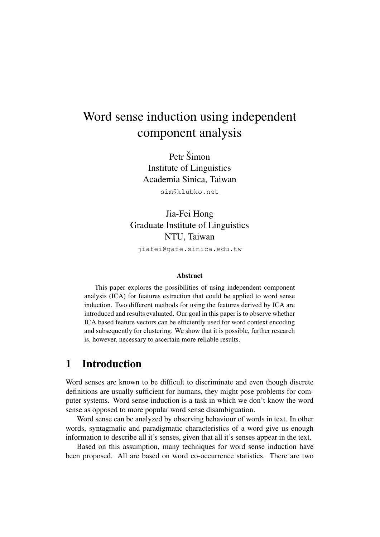# Word sense induction using independent component analysis

Petr Šimon Institute of Linguistics Academia Sinica, Taiwan sim@klubko.net

Jia-Fei Hong Graduate Institute of Linguistics NTU, Taiwan

jiafei@gate.sinica.edu.tw

#### Abstract

This paper explores the possibilities of using independent component analysis (ICA) for features extraction that could be applied to word sense induction. Two different methods for using the features derived by ICA are introduced and results evaluated. Our goal in this paper is to observe whether ICA based feature vectors can be efficiently used for word context encoding and subsequently for clustering. We show that it is possible, further research is, however, necessary to ascertain more reliable results.

### 1 Introduction

Word senses are known to be difficult to discriminate and even though discrete definitions are usually sufficient for humans, they might pose problems for computer systems. Word sense induction is a task in which we don't know the word sense as opposed to more popular word sense disambiguation.

Word sense can be analyzed by observing behaviour of words in text. In other words, syntagmatic and paradigmatic characteristics of a word give us enough information to describe all it's senses, given that all it's senses appear in the text.

Based on this assumption, many techniques for word sense induction have been proposed. All are based on word co-occurrence statistics. There are two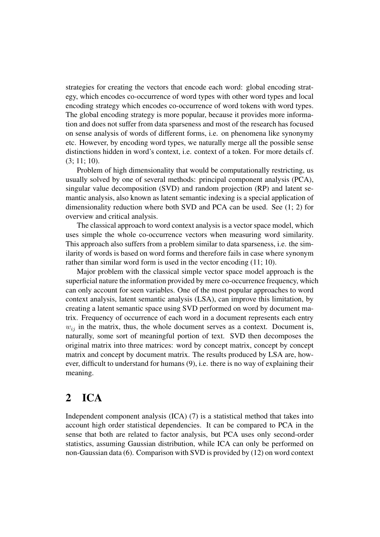strategies for creating the vectors that encode each word: global encoding strategy, which encodes co-occurrence of word types with other word types and local encoding strategy which encodes co-occurrence of word tokens with word types. The global encoding strategy is more popular, because it provides more information and does not suffer from data sparseness and most of the research has focused on sense analysis of words of different forms, i.e. on phenomena like synonymy etc. However, by encoding word types, we naturally merge all the possible sense distinctions hidden in word's context, i.e. context of a token. For more details cf. (3; 11; 10).

Problem of high dimensionality that would be computationally restricting, us usually solved by one of several methods: principal component analysis (PCA), singular value decomposition (SVD) and random projection (RP) and latent semantic analysis, also known as latent semantic indexing is a special application of dimensionality reduction where both SVD and PCA can be used. See (1; 2) for overview and critical analysis.

The classical approach to word context analysis is a vector space model, which uses simple the whole co-occurrence vectors when measuring word similarity. This approach also suffers from a problem similar to data sparseness, i.e. the similarity of words is based on word forms and therefore fails in case where synonym rather than similar word form is used in the vector encoding (11; 10).

Major problem with the classical simple vector space model approach is the superficial nature the information provided by mere co-occurrence frequency, which can only account for seen variables. One of the most popular approaches to word context analysis, latent semantic analysis (LSA), can improve this limitation, by creating a latent semantic space using SVD performed on word by document matrix. Frequency of occurrence of each word in a document represents each entry  $w_{ij}$  in the matrix, thus, the whole document serves as a context. Document is, naturally, some sort of meaningful portion of text. SVD then decomposes the original matrix into three matrices: word by concept matrix, concept by concept matrix and concept by document matrix. The results produced by LSA are, however, difficult to understand for humans (9), i.e. there is no way of explaining their meaning.

## 2 ICA

Independent component analysis (ICA) (7) is a statistical method that takes into account high order statistical dependencies. It can be compared to PCA in the sense that both are related to factor analysis, but PCA uses only second-order statistics, assuming Gaussian distribution, while ICA can only be performed on non-Gaussian data (6). Comparison with SVD is provided by (12) on word context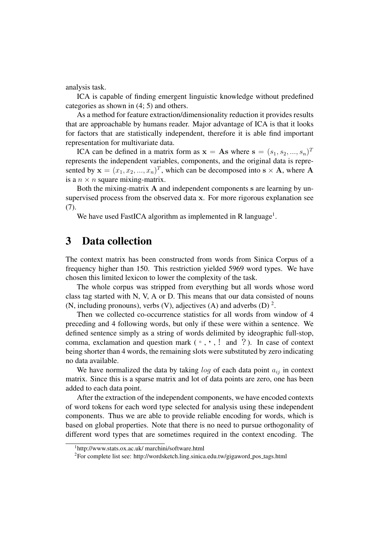analysis task.

ICA is capable of finding emergent linguistic knowledge without predefined categories as shown in (4; 5) and others.

As a method for feature extraction/dimensionality reduction it provides results that are approachable by humans reader. Major advantage of ICA is that it looks for factors that are statistically independent, therefore it is able find important representation for multivariate data.

ICA can be defined in a matrix form as  $x = As$  where  $s = (s_1, s_2, ..., s_n)^T$ represents the independent variables, components, and the original data is represented by  $\mathbf{x} = (x_1, x_2, ..., x_n)^T$ , which can be decomposed into  $\mathbf{s} \times \mathbf{A}$ , where A is a  $n \times n$  square mixing-matrix.

Both the mixing-matrix A and independent components s are learning by unsupervised process from the observed data x. For more rigorous explanation see (7).

We have used FastICA algorithm as implemented in R language<sup>1</sup>.

### 3 Data collection

The context matrix has been constructed from words from Sinica Corpus of a frequency higher than 150. This restriction yielded 5969 word types. We have chosen this limited lexicon to lower the complexity of the task.

The whole corpus was stripped from everything but all words whose word class tag started with N, V, A or D. This means that our data consisted of nouns (N, including pronouns), verbs (V), adjectives (A) and adverbs (D)<sup>2</sup>.

Then we collected co-occurrence statistics for all words from window of 4 preceding and 4 following words, but only if these were within a sentence. We defined sentence simply as a string of words delimited by ideographic full-stop, comma, exclamation and question mark  $(\circ, \cdot)$ , ! and ?). In case of context being shorter than 4 words, the remaining slots were substituted by zero indicating no data available.

We have normalized the data by taking  $log$  of each data point  $a_{ij}$  in context matrix. Since this is a sparse matrix and lot of data points are zero, one has been added to each data point.

After the extraction of the independent components, we have encoded contexts of word tokens for each word type selected for analysis using these independent components. Thus we are able to provide reliable encoding for words, which is based on global properties. Note that there is no need to pursue orthogonality of different word types that are sometimes required in the context encoding. The

<sup>1</sup>http://www.stats.ox.ac.uk/ marchini/software.html

<sup>&</sup>lt;sup>2</sup>For complete list see: http://wordsketch.ling.sinica.edu.tw/gigaword\_pos\_tags.html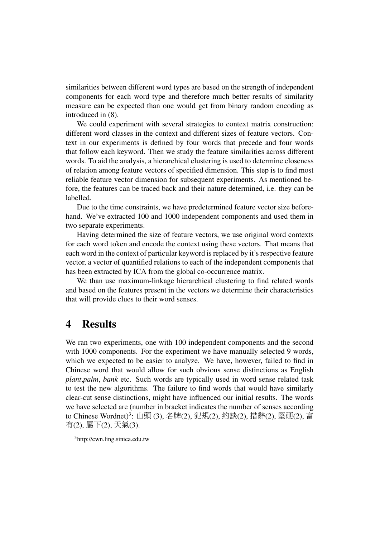similarities between different word types are based on the strength of independent components for each word type and therefore much better results of similarity measure can be expected than one would get from binary random encoding as introduced in (8).

We could experiment with several strategies to context matrix construction: different word classes in the context and different sizes of feature vectors. Context in our experiments is defined by four words that precede and four words that follow each keyword. Then we study the feature similarities across different words. To aid the analysis, a hierarchical clustering is used to determine closeness of relation among feature vectors of specified dimension. This step is to find most reliable feature vector dimension for subsequent experiments. As mentioned before, the features can be traced back and their nature determined, i.e. they can be labelled.

Due to the time constraints, we have predetermined feature vector size beforehand. We've extracted 100 and 1000 independent components and used them in two separate experiments.

Having determined the size of feature vectors, we use original word contexts for each word token and encode the context using these vectors. That means that each word in the context of particular keyword is replaced by it's respective feature vector, a vector of quantified relations to each of the independent components that has been extracted by ICA from the global co-occurrence matrix.

We than use maximum-linkage hierarchical clustering to find related words and based on the features present in the vectors we determine their characteristics that will provide clues to their word senses.

### 4 Results

We ran two experiments, one with 100 independent components and the second with 1000 components. For the experiment we have manually selected 9 words, which we expected to be easier to analyze. We have, however, failed to find in Chinese word that would allow for such obvious sense distinctions as English *plant*,*palm*, *bank* etc. Such words are typically used in word sense related task to test the new algorithms. The failure to find words that would have similarly clear-cut sense distinctions, might have influenced our initial results. The words we have selected are (number in bracket indicates the number of senses according to Chinese Wordnet)<sup>3</sup>: 山頭 (3), 名牌(2), 犯規(2), 約談(2), 措辭(2), 堅硬(2), 富<br>有(2), 屬下(2), 天氣(3) 有(2), <sup>屬</sup>下(2), 天氣(3).

<sup>3</sup>http://cwn.ling.sinica.edu.tw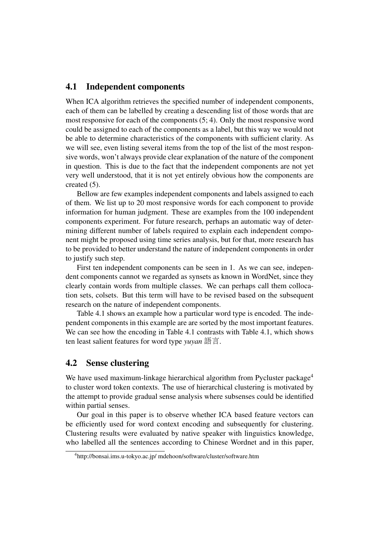#### 4.1 Independent components

When ICA algorithm retrieves the specified number of independent components, each of them can be labelled by creating a descending list of those words that are most responsive for each of the components (5; 4). Only the most responsive word could be assigned to each of the components as a label, but this way we would not be able to determine characteristics of the components with sufficient clarity. As we will see, even listing several items from the top of the list of the most responsive words, won't always provide clear explanation of the nature of the component in question. This is due to the fact that the independent components are not yet very well understood, that it is not yet entirely obvious how the components are created (5).

Bellow are few examples independent components and labels assigned to each of them. We list up to 20 most responsive words for each component to provide information for human judgment. These are examples from the 100 independent components experiment. For future research, perhaps an automatic way of determining different number of labels required to explain each independent component might be proposed using time series analysis, but for that, more research has to be provided to better understand the nature of independent components in order to justify such step.

First ten independent components can be seen in 1. As we can see, independent components cannot we regarded as synsets as known in WordNet, since they clearly contain words from multiple classes. We can perhaps call them collocation sets, colsets. But this term will have to be revised based on the subsequent research on the nature of independent components.

Table 4.1 shows an example how a particular word type is encoded. The independent components in this example are are sorted by the most important features. We can see how the encoding in Table 4.1 contrasts with Table 4.1, which shows ten least salient features for word type *yuyan* 語言.

### 4.2 Sense clustering

We have used maximum-linkage hierarchical algorithm from Pycluster package<sup>4</sup> to cluster word token contexts. The use of hierarchical clustering is motivated by the attempt to provide gradual sense analysis where subsenses could be identified within partial senses.

Our goal in this paper is to observe whether ICA based feature vectors can be efficiently used for word context encoding and subsequently for clustering. Clustering results were evaluated by native speaker with linguistics knowledge, who labelled all the sentences according to Chinese Wordnet and in this paper,

<sup>4</sup>http://bonsai.ims.u-tokyo.ac.jp/ mdehoon/software/cluster/software.htm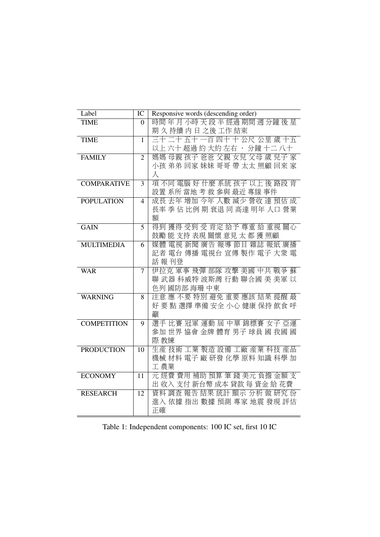| Label              | IC             | Responsive words (descending order)                     |  |  |
|--------------------|----------------|---------------------------------------------------------|--|--|
| <b>TIME</b>        | $\overline{0}$ | 時間年月小時天段半經過期間週分鐘後星                                      |  |  |
|                    |                | 期久持續内日之後工作結束                                            |  |  |
| <b>TIME</b>        | $\mathbf{1}$   | 三十二十五十一百四十十公尺公里歲十五                                      |  |  |
|                    |                | 以上 六十 超過 約 大約 左右 · 分鐘 十二 八十                             |  |  |
| <b>FAMILY</b>      | 2              | 媽媽 母親 孩子 爸爸 父親 女兒 父母 歲 兒子 家                             |  |  |
|                    |                | 小孩 弟弟 回家 妹妹 哥哥 帶 太太 照顧 回來 家                             |  |  |
|                    |                | 人                                                       |  |  |
| <b>COMPARATIVE</b> | 3              | 項不同電腦好什麼系統孩子以上後路段肯                                      |  |  |
|                    |                | 設置 系所 當地 考 救 參與 最近 專線 事件                                |  |  |
| <b>POPULATION</b>  | 4              | 成長 去年 增加 今年 人數 減少 營收 達 預估 成                             |  |  |
|                    |                | 長率 季 佔 比例 期 衰退 同 高達 明年 人口 營業                            |  |  |
|                    |                | 額                                                       |  |  |
| <b>GAIN</b>        | 5              | 得到獲得 受到 受 肯定 給予 尊重 給 重視 關心<br>鼓勵 能 支持 表現 關懷 意見 太 都 獲 照顧 |  |  |
| <b>MULTIMEDIA</b>  |                | 媒體 電視 新聞 廣告 報導 節目 雜誌 報紙 廣播                              |  |  |
|                    | 6              | 記者 電台 傳播 電視台 宣傳 製作 電子 大衆 電                              |  |  |
|                    |                | 話報刊登                                                    |  |  |
| <b>WAR</b>         | 7              | 伊拉克 軍事 飛彈 部隊 攻擊 美國 中共 戰爭 蘇                              |  |  |
|                    |                | 聯 武器 科威特 波斯灣 行動 聯合國 美 美軍 以                              |  |  |
|                    |                | 色列 國防部 海珊 中東                                            |  |  |
| <b>WARNING</b>     | 8              | 注意 應 不要 特別 避免 重要 應該 結果 提醒 最                             |  |  |
|                    |                | 好 要 點 選擇 準備 安全 小心 健康 保持 飲食 呼                            |  |  |
|                    |                | 籲                                                       |  |  |
| <b>COMPETITION</b> | 9              | 選手 比賽 冠軍 運動 屆 中華 錦標賽 女子 亞運                              |  |  |
|                    |                | 參加 世界 協會 金牌 體育 男子 球員 國 我國 國                             |  |  |
|                    |                | 際 教練                                                    |  |  |
| <b>PRODUCTION</b>  | 10             | 生産 技術 工業 製造 設備 工廠 産業 科技 産品                              |  |  |
|                    |                | 機械 材料 電子 廠 研發 化學 原料 知識 科學 加                             |  |  |
|                    |                | 工農業                                                     |  |  |
| <b>ECONOMY</b>     | 11             | 元經費費用補助預算筆錢美元負擔金額支                                      |  |  |
|                    |                | 出 收入 支付 新台幣 成本 貸款 每 資金 給 花費                             |  |  |
| <b>RESEARCH</b>    | 12             | 資料 調查 報告 結果 統計 顯示 分析 做 研究 份                             |  |  |
|                    |                | 進入 依據 指出 數據 預測 專家 地震 發現 評估<br>正確                        |  |  |
|                    |                |                                                         |  |  |

Table 1: Independent components: 100 IC set, first 10 IC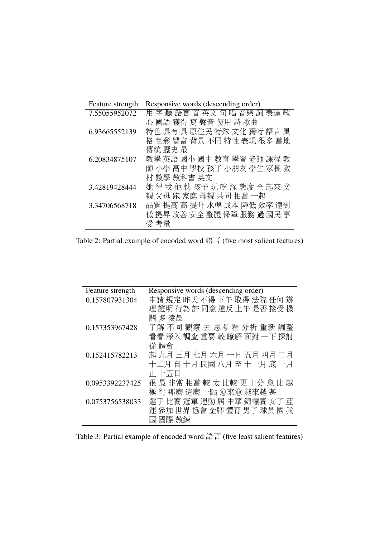| Feature strength | Responsive words (descending order) |
|------------------|-------------------------------------|
| 7.55055952072    | 用字 聽 語言 首 英文 句 唱 音樂 詞 表達 歌          |
|                  | 心 國語 獲得 寫 聲音 使用 詩 歌曲                |
| 6.93665552139    | 特色 具有 具 原住民 特殊 文化 獨特 語言 風           |
|                  | 格 色彩 豐富 背景 不同 特性 表現 很多 當地           |
|                  | 傳統 歷史 最                             |
| 6.20834875107    | 教學 英語 國小 國中 教育 學習 老師 課程 教           |
|                  | 師 小學 高中 學校 孩子 小朋友 學生 家長 教           |
|                  | 材 數學 教科書 英文                         |
| 3.42819428444    | 她得我他快孩子玩吃深態度全起來父                    |
|                  | 親 父母 跑 家庭 母親 共同 相當 一起               |
| 3.34706568718    | 品質 提高 高 提升 水準 成本 降低 效率 達到           |
|                  | 低 提昇 改善 安全 整體 保障 服務 過 國民 享          |
|                  | 受 考量                                |
|                  |                                     |

Table 2: Partial example of encoded word 語言 (five most salient features)

| Feature strength | Responsive words (descending order) |
|------------------|-------------------------------------|
| 0.157807931304   | 申請 規定 昨天 不得 下午 取得 法院 任何 辦           |
|                  | 理 證明 行為 許 同意 違反 上午 是否 接受 機          |
|                  | 關 多 凌晨                              |
| 0.157353967428   | 了解 不同 觀察 去 思考 看 分析 重新 調整            |
|                  | 看看 深入 調査 重要 較 瞭解 面對 一下 探討           |
|                  | 從 體會                                |
| 0.152415782213   | 起 九月 三月 七月 六月 一日 五月 四月 二月           |
|                  | 十二月 自 十月 民國 八月 至 十一月 底 一月           |
|                  | 正十五日                                |
| 0.0953392237425  | 很最非常相當較太比較更十分愈比越                    |
|                  | 極 得 那麼 這麼 一點 愈來愈 越來越 甚              |
| 0.0753756538033  | 選手 比賽 冠軍 運動 屆 中華 錦標賽 女子 亞           |
|                  | 運 參加 世界 協會 金牌 體育 男子 球員 國 我          |
|                  | 國際 教練<br>國                          |

| Table 3: Partial example of encoded word 語言 (five least salient features) |  |
|---------------------------------------------------------------------------|--|
|---------------------------------------------------------------------------|--|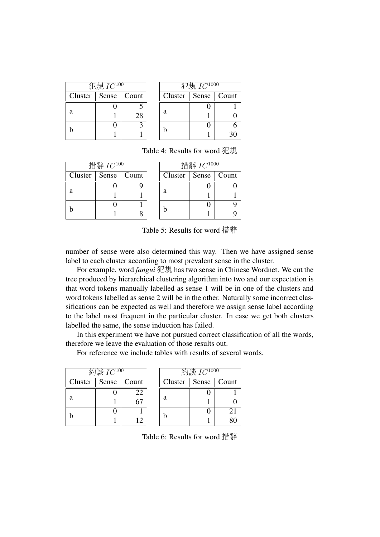|                         | 犯規 $IC^{100}$ |    |                         | 犯規 IC <sup>1000</sup> |  |
|-------------------------|---------------|----|-------------------------|-----------------------|--|
| Cluster   Sense   Count |               |    | Cluster   Sense   Count |                       |  |
|                         |               |    |                         |                       |  |
|                         |               | 28 | a                       |                       |  |
|                         |               |    |                         |                       |  |
|                         |               |    |                         |                       |  |

Table 4: Results for word 犯規

| 措辭 $IC^{100}$ |                         |  |  |  |  |
|---------------|-------------------------|--|--|--|--|
|               | Cluster   Sense   Count |  |  |  |  |
|               |                         |  |  |  |  |
| a             |                         |  |  |  |  |
|               |                         |  |  |  |  |
|               |                         |  |  |  |  |

| コ目図十 IU         |  |       |  |  |
|-----------------|--|-------|--|--|
| Cluster   Sense |  | Count |  |  |
|                 |  |       |  |  |
| a               |  |       |  |  |
| h               |  |       |  |  |
|                 |  | Q     |  |  |

扭验  $I$  $\cap$ 1000

 $\overline{\phantom{a}}$ 

Table 5: Results for word 措辭

number of sense were also determined this way. Then we have assigned sense label to each cluster according to most prevalent sense in the cluster.

For example, word *fangui* 犯規 has two sense in Chinese Wordnet. We cut the tree produced by hierarchical clustering algorithm into two and our expectation is that word tokens manually labelled as sense 1 will be in one of the clusters and word tokens labelled as sense 2 will be in the other. Naturally some incorrect classifications can be expected as well and therefore we assign sense label according to the label most frequent in the particular cluster. In case we get both clusters labelled the same, the sense induction has failed.

In this experiment we have not pursued correct classification of all the words, therefore we leave the evaluation of those results out.

For reference we include tables with results of several words.

| 約談 I $C^{100}$ |                         |    |  |  |  |
|----------------|-------------------------|----|--|--|--|
|                | Cluster   Sense   Count |    |  |  |  |
|                | 0                       | 22 |  |  |  |
| a              |                         |    |  |  |  |
| h              | ш                       |    |  |  |  |
|                |                         | 12 |  |  |  |

| 約談 I $C^{1000}$         |   |    |  |  |  |
|-------------------------|---|----|--|--|--|
| Cluster   Sense   Count |   |    |  |  |  |
|                         |   |    |  |  |  |
| a                       |   |    |  |  |  |
| h                       | п | 21 |  |  |  |
|                         |   | 80 |  |  |  |

Table 6: Results for word 措辭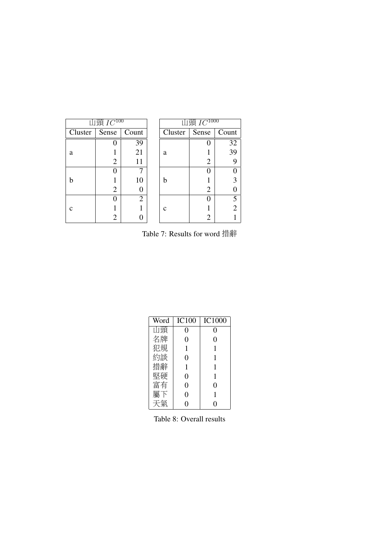| 山頭 $IC^{100}$ |       |                | 山頭 $IC^{1000}$ |       |       |
|---------------|-------|----------------|----------------|-------|-------|
| Cluster       | Sense | Count          | Cluster        | Sense | Count |
|               |       | 39             |                |       | 32    |
| a             |       | 21             | a              |       | 39    |
|               | 2     | 11             |                | 2     | 9     |
|               |       |                |                |       |       |
| h             |       | 10             | h              |       |       |
|               | 2     |                |                | 2     |       |
|               |       | $\mathfrak{D}$ |                |       | 5     |
|               |       |                | $\mathbf c$    |       | 2     |
|               |       |                |                |       |       |

Table 7: Results for word 措辭

| Word | <b>IC100</b>   | <b>IC1000</b> |
|------|----------------|---------------|
| 山頭   | 0              | 0             |
| 名牌   | 0              | 0             |
| 犯規   | 1              | 1             |
| 約談   | 0              |               |
| 措辭   | 1              | 1             |
| 堅硬   | $\theta$       | 1             |
| 富有   | $\overline{0}$ | 0             |
| 屬下   | $\overline{0}$ |               |
| 天氣   | 0              | 0             |

Table 8: Overall results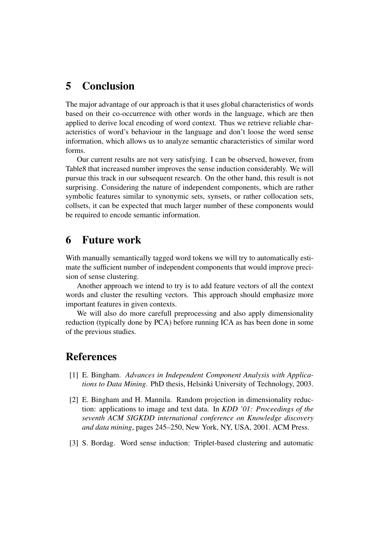## 5 Conclusion

The major advantage of our approach is that it uses global characteristics of words based on their co-occurrence with other words in the language, which are then applied to derive local encoding of word context. Thus we retrieve reliable characteristics of word's behaviour in the language and don't loose the word sense information, which allows us to analyze semantic characteristics of similar word forms.

Our current results are not very satisfying. I can be observed, however, from Table8 that increased number improves the sense induction considerably. We will pursue this track in our subsequent research. On the other hand, this result is not surprising. Considering the nature of independent components, which are rather symbolic features similar to synonymic sets, synsets, or rather collocation sets, collsets, it can be expected that much larger number of these components would be required to encode semantic information.

### 6 Future work

With manually semantically tagged word tokens we will try to automatically estimate the sufficient number of independent components that would improve precision of sense clustering.

Another approach we intend to try is to add feature vectors of all the context words and cluster the resulting vectors. This approach should emphasize more important features in given contexts.

We will also do more carefull preprocessing and also apply dimensionality reduction (typically done by PCA) before running ICA as has been done in some of the previous studies.

### References

- [1] E. Bingham. *Advances in Independent Component Analysis with Applications to Data Mining*. PhD thesis, Helsinki University of Technology, 2003.
- [2] E. Bingham and H. Mannila. Random projection in dimensionality reduction: applications to image and text data. In *KDD '01: Proceedings of the seventh ACM SIGKDD international conference on Knowledge discovery and data mining*, pages 245–250, New York, NY, USA, 2001. ACM Press.
- [3] S. Bordag. Word sense induction: Triplet-based clustering and automatic